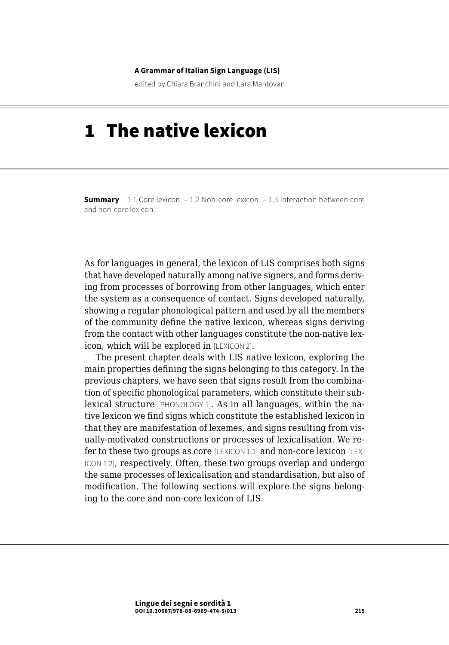#### **A Grammar of Italian Sign Language (LIS)**

edited by Chiara Branchini and Lara Mantovan

# 1 The native lexicon

**Summary** [1.1 Core lexicon.](#page-1-0) – [1.2 Non-core lexicon](#page-8-0). – 1.3 Interaction between core [and non-core lexicon.](#page-13-0)

As for languages in general, the lexicon of LIS comprises both signs that have developed naturally among native signers, and forms deriving from processes of borrowing from other languages, which enter the system as a consequence of contact. Signs developed naturally, showing a regular phonological pattern and used by all the members of the community define the native lexicon, whereas signs deriving from the contact with other languages constitute the non-native lexicon, which will be explored in [LEXICON 2].

The present chapter deals with LIS native lexicon, exploring the main properties defining the signs belonging to this category. In the previous chapters, we have seen that signs result from the combination of specific phonological parameters, which constitute their sublexical structure [PHONOLOGY 1]. As in all languages, within the native lexicon we find signs which constitute the established lexicon in that they are manifestation of lexemes, and signs resulting from visually-motivated constructions or processes of lexicalisation. We refer to these two groups as core [LEXICON 1.1] and non-core lexicon [LEX-ICON 1.2], respectively. Often, these two groups overlap and undergo the same processes of lexicalisation and standardisation, but also of modification. The following sections will explore the signs belonging to the core and non-core lexicon of LIS.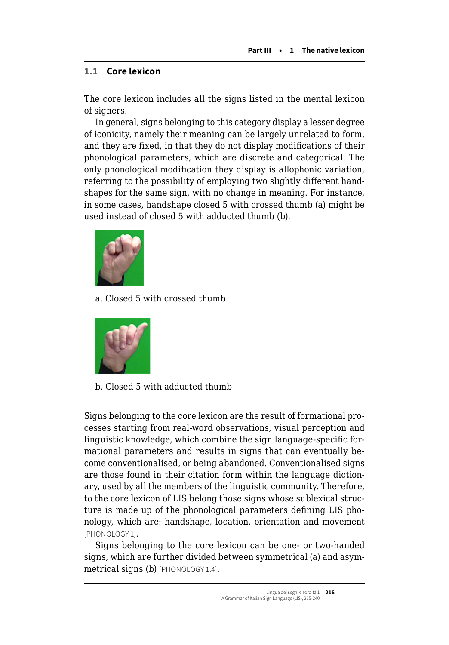## <span id="page-1-0"></span>**1.1 Core lexicon**

The core lexicon includes all the signs listed in the mental lexicon of signers.

In general, signs belonging to this category display a lesser degree of iconicity, namely their meaning can be largely unrelated to form, and they are fixed, in that they do not display modifications of their phonological parameters, which are discrete and categorical. The only phonological modification they display is allophonic variation, referring to the possibility of employing two slightly different handshapes for the same sign, with no change in meaning. For instance, in some cases, handshape closed 5 with crossed thumb (a) might be used instead of closed 5 with adducted thumb (b).



a. Closed 5 with crossed thumb



b. Closed 5 with adducted thumb

Signs belonging to the core lexicon are the result of formational processes starting from real-word observations, visual perception and linguistic knowledge, which combine the sign language-specific formational parameters and results in signs that can eventually become conventionalised, or being abandoned. Conventionalised signs are those found in their citation form within the language dictionary, used by all the members of the linguistic community. Therefore, to the core lexicon of LIS belong those signs whose sublexical structure is made up of the phonological parameters defining LIS phonology, which are: handshape, location, orientation and movement [PHONOLOGY 1].

Signs belonging to the core lexicon can be one- or two-handed signs, which are further divided between symmetrical (a) and asymmetrical signs (b) [PHONOLOGY 1.4].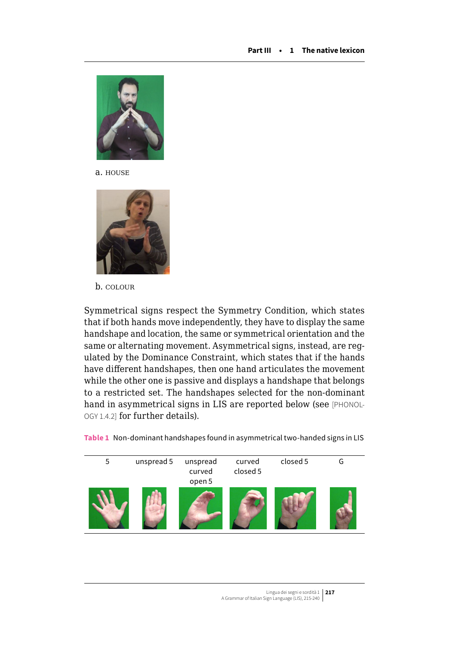

a. house



b. colour

Symmetrical signs respect the Symmetry Condition, which states that if both hands move independently, they have to display the same handshape and location, the same or symmetrical orientation and the same or alternating movement. Asymmetrical signs, instead, are regulated by the Dominance Constraint, which states that if the hands have different handshapes, then one hand articulates the movement while the other one is passive and displays a handshape that belongs to a restricted set. The handshapes selected for the non-dominant hand in asymmetrical signs in LIS are reported below (see [PHONOL-OGY 1.4.2] for further details).



**Table 1** Non-dominant handshapes found in asymmetrical two-handed signs in LIS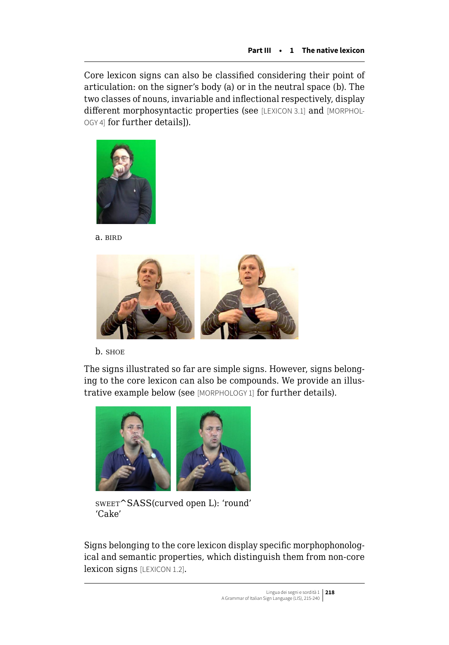Core lexicon signs can also be classified considering their point of articulation: on the signer's body (a) or in the neutral space (b). The two classes of nouns, invariable and inflectional respectively, display different morphosyntactic properties (see [LEXICON 3.1] and [MORPHOL-OGY 4] for further details]).



a. bird



b. shoe

The signs illustrated so far are simple signs. However, signs belonging to the core lexicon can also be compounds. We provide an illustrative example below (see [MORPHOLOGY 1] for further details).



sweet^SASS(curved open L): 'round' 'Cake'

Signs belonging to the core lexicon display specific morphophonological and semantic properties, which distinguish them from non-core lexicon signs [LEXICON 1.2].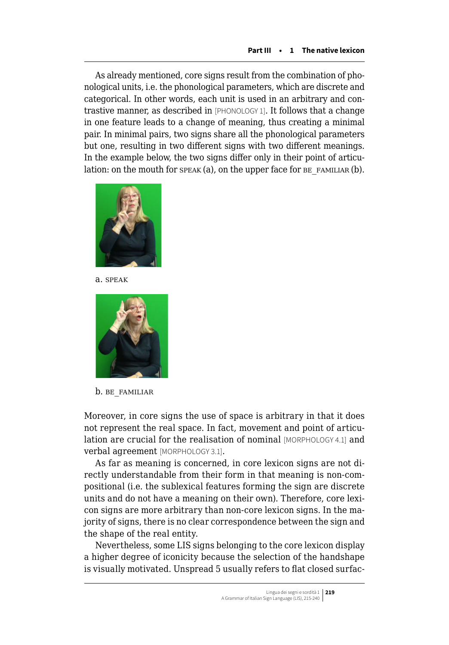As already mentioned, core signs result from the combination of phonological units, i.e. the phonological parameters, which are discrete and categorical. In other words, each unit is used in an arbitrary and contrastive manner, as described in [PHONOLOGY 1]. It follows that a change in one feature leads to a change of meaning, thus creating a minimal pair. In minimal pairs, two signs share all the phonological parameters but one, resulting in two different signs with two different meanings. In the example below, the two signs differ only in their point of articulation: on the mouth for speak (a), on the upper face for  $BE$  FAMILIAR (b).



a. speak



b. BE\_FAMILIAR

Moreover, in core signs the use of space is arbitrary in that it does not represent the real space. In fact, movement and point of articulation are crucial for the realisation of nominal [MORPHOLOGY 4.1] and verbal agreement [MORPHOLOGY 3.1].

As far as meaning is concerned, in core lexicon signs are not directly understandable from their form in that meaning is non-compositional (i.e. the sublexical features forming the sign are discrete units and do not have a meaning on their own). Therefore, core lexicon signs are more arbitrary than non-core lexicon signs. In the majority of signs, there is no clear correspondence between the sign and the shape of the real entity.

Nevertheless, some LIS signs belonging to the core lexicon display a higher degree of iconicity because the selection of the handshape is visually motivated. Unspread 5 usually refers to flat closed surfac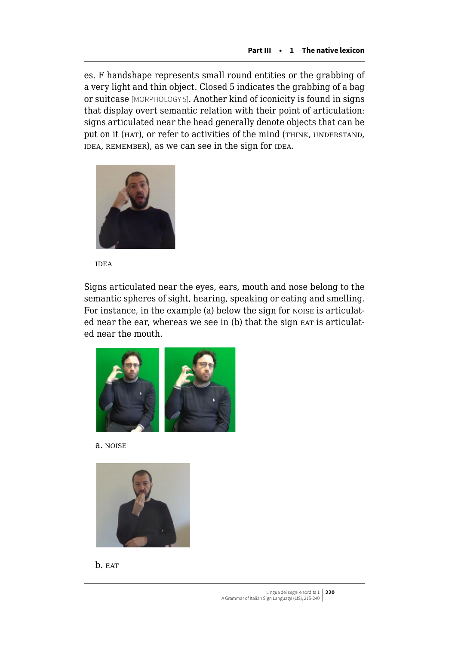es. F handshape represents small round entities or the grabbing of a very light and thin object. Closed 5 indicates the grabbing of a bag or suitcase [MORPHOLOGY 5]. Another kind of iconicity is found in signs that display overt semantic relation with their point of articulation: signs articulated near the head generally denote objects that can be put on it (HAT), or refer to activities of the mind (THINK, UNDERSTAND, IDEA, REMEMBER), as we can see in the sign for IDEA.



idea

Signs articulated near the eyes, ears, mouth and nose belong to the semantic spheres of sight, hearing, speaking or eating and smelling. For instance, in the example (a) below the sign for noise is articulated near the ear, whereas we see in (b) that the sign EAT is articulated near the mouth.







b. EAT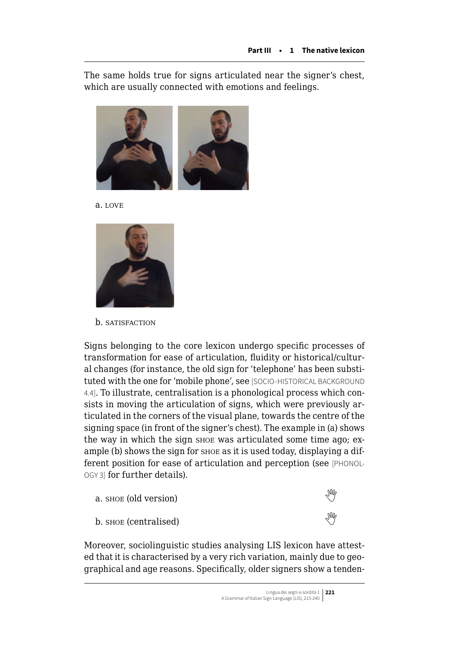The same holds true for signs articulated near the signer's chest, which are usually connected with emotions and feelings.



a. love



b. SATISFACTION

Signs belonging to the core lexicon undergo specific processes of transformation for ease of articulation, fluidity or historical/cultural changes (for instance, the old sign for 'telephone' has been substituted with the one for 'mobile phone', see [SOCIO-HISTORICAL BACKGROUND 4.4]. To illustrate, centralisation is a phonological process which consists in moving the articulation of signs, which were previously articulated in the corners of the visual plane, towards the centre of the signing space (in front of the signer's chest). The example in (a) shows the way in which the sign shoe was articulated some time ago; example (b) shows the sign for shoe as it is used today, displaying a different position for ease of articulation and perception (see [PHONOL-OGY 3] for further details).



Moreover, sociolinguistic studies analysing LIS lexicon have attested that it is characterised by a very rich variation, mainly due to geographical and age reasons. Specifically, older signers show a tenden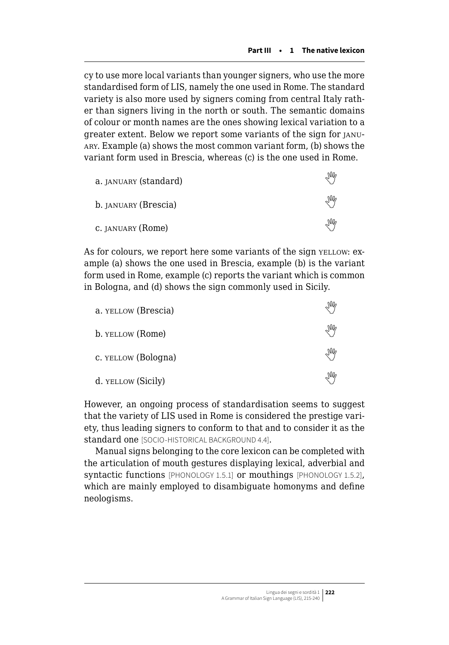cy to use more local variants than younger signers, who use the more standardised form of LIS, namely the one used in Rome. The standard variety is also more used by signers coming from central Italy rather than signers living in the north or south. The semantic domains of colour or month names are the ones showing lexical variation to a greater extent. Below we report some variants of the sign for january. Example (a) shows the most common variant form, (b) shows the variant form used in Brescia, whereas (c) is the one used in Rome.

| a. JANUARY (standard) | M |
|-----------------------|---|
| b. JANUARY (Brescia)  | ₩ |
| C. JANUARY (Rome)     | ₩ |

As for colours, we report here some variants of the sign yELLOW: example (a) shows the one used in Brescia, example (b) is the variant form used in Rome, example (c) reports the variant which is common in Bologna, and (d) shows the sign commonly used in Sicily.

| a. YELLOW (Brescia) | M |
|---------------------|---|
| b. YELLOW (Rome)    | ₩ |
| c. YELLOW (Bologna) | ₩ |
| d. YELLOW (Sicily)  | ₩ |

However, an ongoing process of standardisation seems to suggest that the variety of LIS used in Rome is considered the prestige variety, thus leading signers to conform to that and to consider it as the standard one [SOCIO-HISTORICAL BACKGROUND 4.4].

Manual signs belonging to the core lexicon can be completed with the articulation of mouth gestures displaying lexical, adverbial and syntactic functions [PHONOLOGY 1.5.1] or mouthings [PHONOLOGY 1.5.2], which are mainly employed to disambiguate homonyms and define neologisms.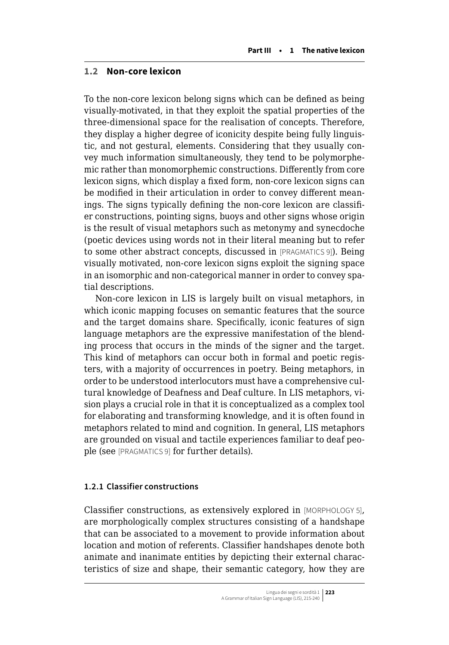## <span id="page-8-0"></span>**1.2 Non-core lexicon**

To the non-core lexicon belong signs which can be defined as being visually-motivated, in that they exploit the spatial properties of the three-dimensional space for the realisation of concepts. Therefore, they display a higher degree of iconicity despite being fully linguistic, and not gestural, elements. Considering that they usually convey much information simultaneously, they tend to be polymorphemic rather than monomorphemic constructions. Differently from core lexicon signs, which display a fixed form, non-core lexicon signs can be modified in their articulation in order to convey different meanings. The signs typically defining the non-core lexicon are classifier constructions, pointing signs, buoys and other signs whose origin is the result of visual metaphors such as metonymy and synecdoche (poetic devices using words not in their literal meaning but to refer to some other abstract concepts, discussed in [PRAGMATICS 9]). Being visually motivated, non-core lexicon signs exploit the signing space in an isomorphic and non-categorical manner in order to convey spatial descriptions.

Non-core lexicon in LIS is largely built on visual metaphors, in which iconic mapping focuses on semantic features that the source and the target domains share. Specifically, iconic features of sign language metaphors are the expressive manifestation of the blending process that occurs in the minds of the signer and the target. This kind of metaphors can occur both in formal and poetic registers, with a majority of occurrences in poetry. Being metaphors, in order to be understood interlocutors must have a comprehensive cultural knowledge of Deafness and Deaf culture. In LIS metaphors, vision plays a crucial role in that it is conceptualized as a complex tool for elaborating and transforming knowledge, and it is often found in metaphors related to mind and cognition. In general, LIS metaphors are grounded on visual and tactile experiences familiar to deaf people (see [PRAGMATICS 9] for further details).

## **1.2.1 Classifier constructions**

Classifier constructions, as extensively explored in [MORPHOLOGY 5], are morphologically complex structures consisting of a handshape that can be associated to a movement to provide information about location and motion of referents. Classifier handshapes denote both animate and inanimate entities by depicting their external characteristics of size and shape, their semantic category, how they are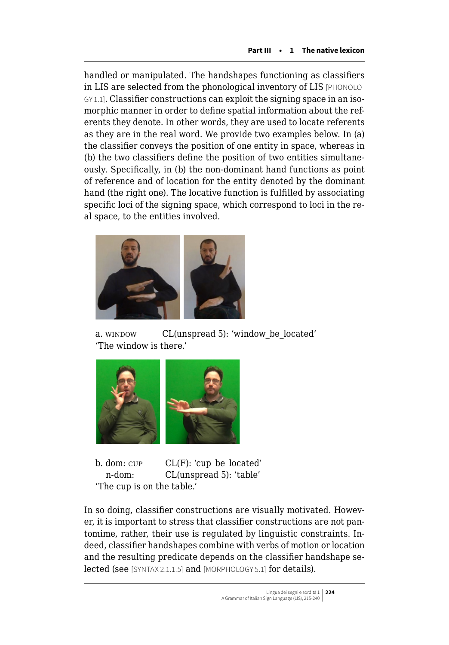handled or manipulated. The handshapes functioning as classifiers in LIS are selected from the phonological inventory of LIS [PHONOLO-GY 1.1]. Classifier constructions can exploit the signing space in an isomorphic manner in order to define spatial information about the referents they denote. In other words, they are used to locate referents as they are in the real word. We provide two examples below. In (a) the classifier conveys the position of one entity in space, whereas in (b) the two classifiers define the position of two entities simultaneously. Specifically, in (b) the non-dominant hand functions as point of reference and of location for the entity denoted by the dominant hand (the right one). The locative function is fulfilled by associating specific loci of the signing space, which correspond to loci in the real space, to the entities involved.



a. window CL(unspread 5): 'window be located' 'The window is there.'



b. dom:  $CUP$   $CL(F)$ : 'cup\_be\_located' n-dom: CL(unspread 5): 'table' 'The cup is on the table.'

In so doing, classifier constructions are visually motivated. However, it is important to stress that classifier constructions are not pantomime, rather, their use is regulated by linguistic constraints. Indeed, classifier handshapes combine with verbs of motion or location and the resulting predicate depends on the classifier handshape selected (see [SYNTAX 2.1.1.5] and [MORPHOLOGY 5.1] for details).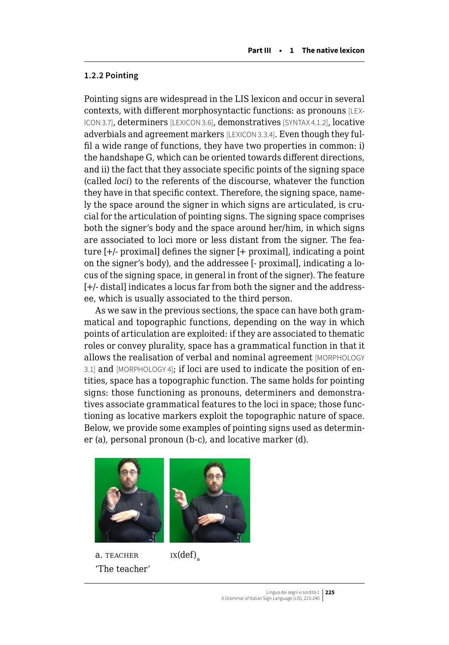## **1.2.2 Pointing**

Pointing signs are widespread in the LIS lexicon and occur in several contexts, with different morphosyntactic functions: as pronouns [LEX-ICON 3.7], determiners [LEXICON 3.6], demonstratives [SYNTAX 4.1.2], locative adverbials and agreement markers [LEXICON 3.3.4]. Even though they fulfil a wide range of functions, they have two properties in common: i) the handshape G, which can be oriented towards different directions, and ii) the fact that they associate specific points of the signing space (called *loci*) to the referents of the discourse, whatever the function they have in that specific context. Therefore, the signing space, namely the space around the signer in which signs are articulated, is crucial for the articulation of pointing signs. The signing space comprises both the signer's body and the space around her/him, in which signs are associated to loci more or less distant from the signer. The feature [+/- proximal] defines the signer [+ proximal], indicating a point on the signer's body), and the addressee [- proximal], indicating a locus of the signing space, in general in front of the signer). The feature [+/- distal] indicates a locus far from both the signer and the addressee, which is usually associated to the third person.

As we saw in the previous sections, the space can have both grammatical and topographic functions, depending on the way in which points of articulation are exploited: if they are associated to thematic roles or convey plurality, space has a grammatical function in that it allows the realisation of verbal and nominal agreement [MORPHOLOGY 3.1] and [MORPHOLOGY 4]; if loci are used to indicate the position of entities, space has a topographic function. The same holds for pointing signs: those functioning as pronouns, determiners and demonstratives associate grammatical features to the loci in space; those functioning as locative markers exploit the topographic nature of space. Below, we provide some examples of pointing signs used as determiner (a), personal pronoun (b-c), and locative marker (d).





a. TEACHER  $ix(\text{def})$ 'The teacher'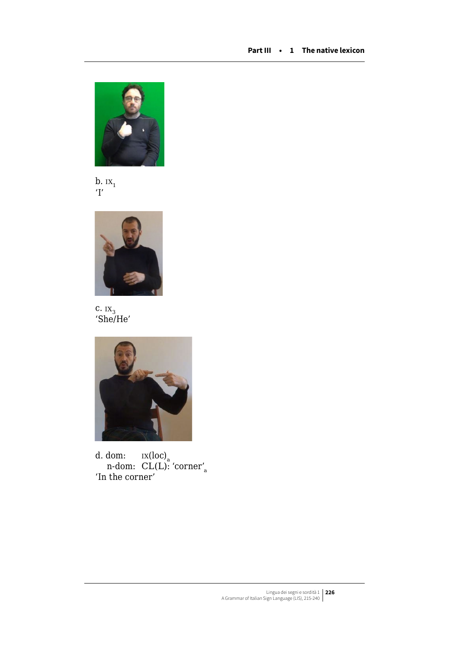





 $c.$   $IX<sub>3</sub>$ 'She/He'



d. dom:  $\,$   $\,$   $\rm{ix(loc)}_{\rm a}$ n-dom: CL(L): 'corner'<sub>a</sub> 'In the corner'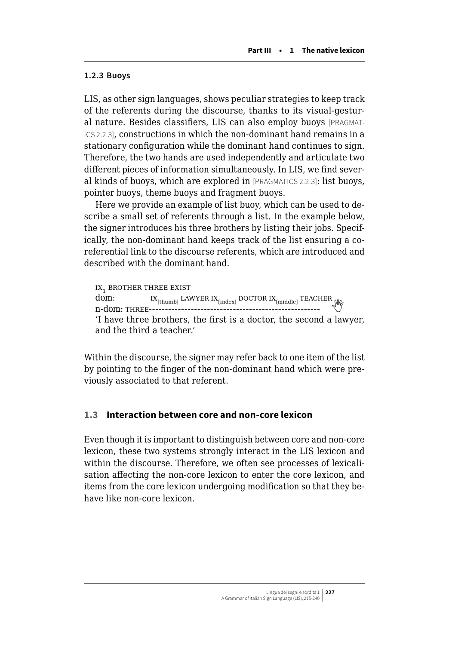## **1.2.3 Buoys**

LIS, as other sign languages, shows peculiar strategies to keep track of the referents during the discourse, thanks to its visual-gestural nature. Besides classifiers, LIS can also employ buoys [PRAGMAT-ICS 2.2.3], constructions in which the non-dominant hand remains in a stationary configuration while the dominant hand continues to sign. Therefore, the two hands are used independently and articulate two different pieces of information simultaneously. In LIS, we find several kinds of buoys, which are explored in [PRAGMATICS 2.2.3]: list buoys, pointer buoys, theme buoys and fragment buoys.

Here we provide an example of list buoy, which can be used to describe a small set of referents through a list. In the example below, the signer introduces his three brothers by listing their jobs. Specifically, the non-dominant hand keeps track of the list ensuring a coreferential link to the discourse referents, which are introduced and described with the dominant hand.

```
IX_1 brother three exist<br>dom: IX_{01} I LAV
dom: ix[thumb] lawyer ix[index] doctor ix[middle] teacher
n-dom: three----------------------------------------------------- 
'I have three brothers, the first is a doctor, the second a lawyer, 
and the third a teacher.'
```
Within the discourse, the signer may refer back to one item of the list by pointing to the finger of the non-dominant hand which were previously associated to that referent.

## **1.3 Interaction between core and non-core lexicon**

Even though it is important to distinguish between core and non-core lexicon, these two systems strongly interact in the LIS lexicon and within the discourse. Therefore, we often see processes of lexicalisation affecting the non-core lexicon to enter the core lexicon, and items from the core lexicon undergoing modification so that they behave like non-core lexicon.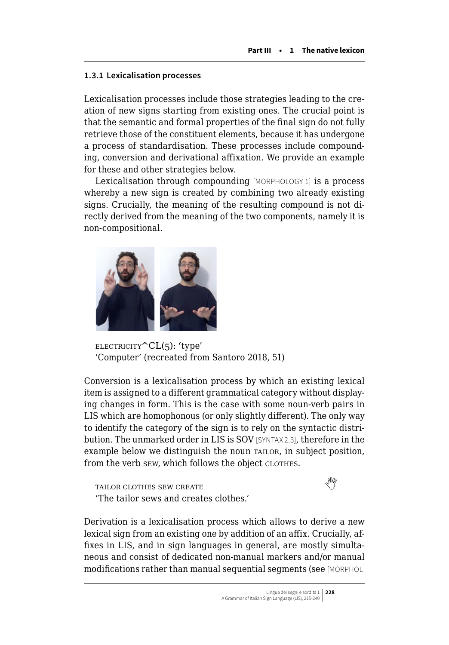## <span id="page-13-0"></span>**1.3.1 Lexicalisation processes**

Lexicalisation processes include those strategies leading to the creation of new signs starting from existing ones. The crucial point is that the semantic and formal properties of the final sign do not fully retrieve those of the constituent elements, because it has undergone a process of standardisation. These processes include compounding, conversion and derivational affixation. We provide an example for these and other strategies below.

Lexicalisation through compounding [MORPHOLOGY 1] is a process whereby a new sign is created by combining two already existing signs. Crucially, the meaning of the resulting compound is not directly derived from the meaning of the two components, namely it is non-compositional.



 $ELECTRICITY^CL(5)$ : 'type' 'Computer' (recreated from Santoro 2018, 51)

Conversion is a lexicalisation process by which an existing lexical item is assigned to a different grammatical category without displaying changes in form. This is the case with some noun-verb pairs in LIS which are homophonous (or only slightly different). The only way to identify the category of the sign is to rely on the syntactic distribution. The unmarked order in LIS is SOV [SYNTAX 2.3], therefore in the example below we distinguish the noun tailor, in subject position, from the verb sew, which follows the object clothes.

TAILORCLOTHES SEW CREATE 'The tailor sews and creates clothes.'

Derivation is a lexicalisation process which allows to derive a new lexical sign from an existing one by addition of an affix. Crucially, affixes in LIS, and in sign languages in general, are mostly simultaneous and consist of dedicated non-manual markers and/or manual modifications rather than manual sequential segments (see [MORPHOL-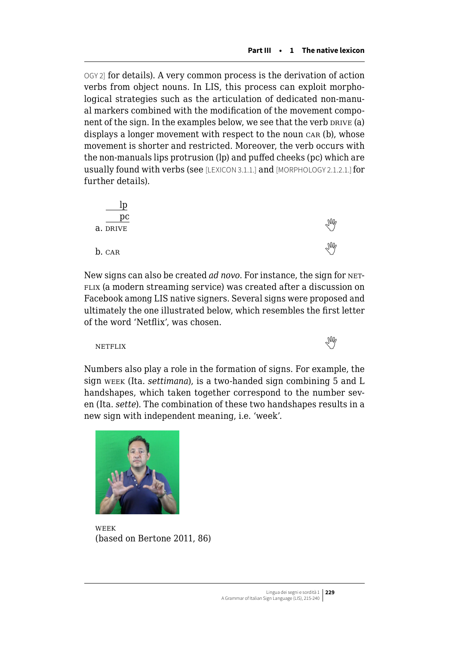OGY 2] for details). A very common process is the derivation of action verbs from object nouns. In LIS, this process can exploit morphological strategies such as the articulation of dedicated non-manual markers combined with the modification of the movement component of the sign. In the examples below, we see that the verb DRIVE (a) displays a longer movement with respect to the noun car (b), whose movement is shorter and restricted. Moreover, the verb occurs with the non-manuals lips protrusion (lp) and puffed cheeks (pc) which are usually found with verbs (see [LEXICON 3.1.1.] and [MORPHOLOGY 2.1.2.1.] for further details).

| pc       |  |
|----------|--|
| a. DRIVE |  |
| b. CAR   |  |

New signs can also be created *ad novo*. For instance, the sign for NET-FLIX (a modern streaming service) was created after a discussion on Facebook among LIS native signers. Several signs were proposed and ultimately the one illustrated below, which resembles the first letter of the word 'Netflix', was chosen.

netflix $\mathbb{W}$ 

Numbers also play a role in the formation of signs. For example, the sign week (Ita. *settimana*), is a two-handed sign combining 5 and L handshapes, which taken together correspond to the number seven (Ita. *sette*). The combination of these two handshapes results in a new sign with independent meaning, i.e. 'week'.



week (based on Bertone 2011, 86)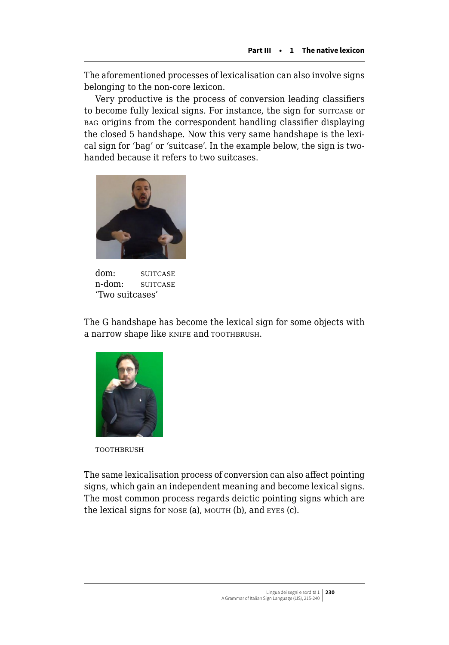The aforementioned processes of lexicalisation can also involve signs belonging to the non-core lexicon.

Very productive is the process of conversion leading classifiers to become fully lexical signs. For instance, the sign for suitcase or bag origins from the correspondent handling classifier displaying the closed 5 handshape. Now this very same handshape is the lexical sign for 'bag' or 'suitcase'. In the example below, the sign is twohanded because it refers to two suitcases.



dom: SUITCASE n-dom: SUITCASE 'Two suitcases'

The G handshape has become the lexical sign for some objects with a narrow shape like KNIFE and TOOTHBRUSH.



**TOOTHBRUSH** 

The same lexicalisation process of conversion can also affect pointing signs, which gain an independent meaning and become lexical signs. The most common process regards deictic pointing signs which are the lexical signs for NOSE (a), MOUTH (b), and EYES (c).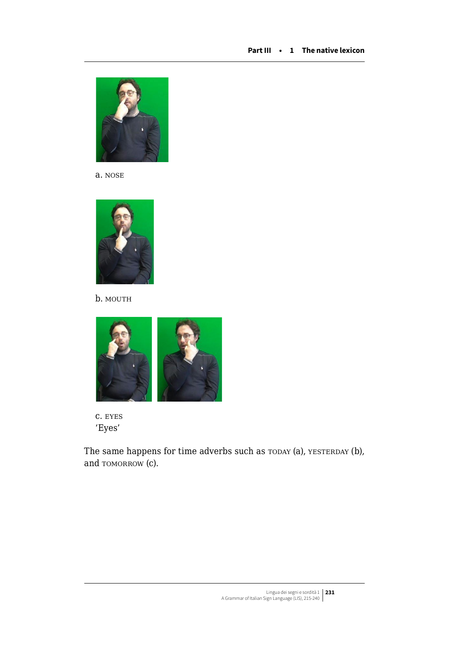

a. nose



b. MOUTH



c. eyes 'Eyes'

The same happens for time adverbs such as  $T$ ODAY (a), YESTERDAY (b), and TOMORROW (c).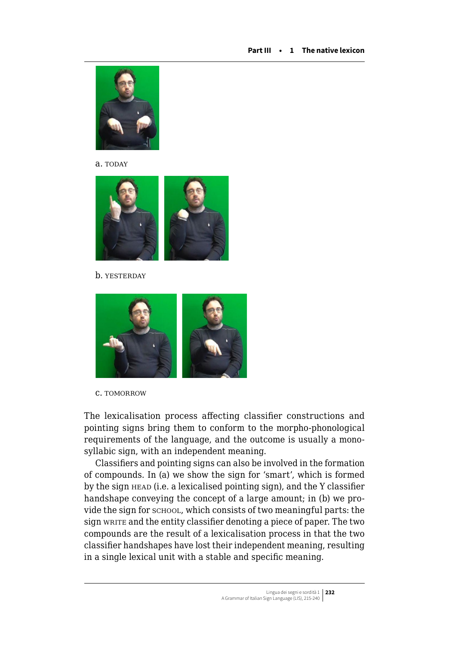

a. TODAY



b. YESTERDAY



c. tomorrow

The lexicalisation process affecting classifier constructions and pointing signs bring them to conform to the morpho-phonological requirements of the language, and the outcome is usually a monosyllabic sign, with an independent meaning.

Classifiers and pointing signs can also be involved in the formation of compounds. In (a) we show the sign for 'smart', which is formed by the sign HEAD (i.e. a lexicalised pointing sign), and the Y classifier handshape conveying the concept of a large amount; in (b) we provide the sign for school, which consists of two meaningful parts: the sign write and the entity classifier denoting a piece of paper. The two compounds are the result of a lexicalisation process in that the two classifier handshapes have lost their independent meaning, resulting in a single lexical unit with a stable and specific meaning.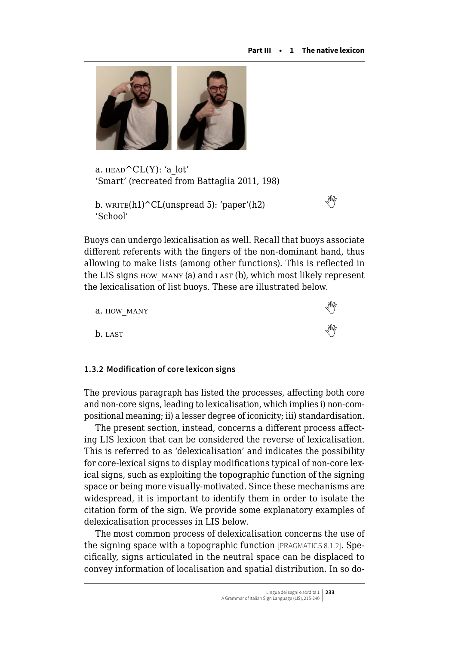

a.  $HEAD^CL(Y)$ : 'a lot' 'Smart' (recreated from Battaglia 2011, 198)

```
 write(h1)^CL(unspread 5): 'paper'(h2)
'School'
```
Buoys can undergo lexicalisation as well. Recall that buoys associate different referents with the fingers of the non-dominant hand, thus allowing to make lists (among other functions). This is reflected in the LIS signs how\_many (a) and last (b), which most likely represent the lexicalisation of list buoys. These are illustrated below.

| a. HOW MANY | M          |
|-------------|------------|
| b. LAST     | $\sqrt{M}$ |

## **1.3.2 Modification of core lexicon signs**

The previous paragraph has listed the processes, affecting both core and non-core signs, leading to lexicalisation, which implies i) non-compositional meaning; ii) a lesser degree of iconicity; iii) standardisation.

The present section, instead, concerns a different process affecting LIS lexicon that can be considered the reverse of lexicalisation. This is referred to as 'delexicalisation' and indicates the possibility for core-lexical signs to display modifications typical of non-core lexical signs, such as exploiting the topographic function of the signing space or being more visually-motivated. Since these mechanisms are widespread, it is important to identify them in order to isolate the citation form of the sign. We provide some explanatory examples of delexicalisation processes in LIS below.

The most common process of delexicalisation concerns the use of the signing space with a topographic function [PRAGMATICS 8.1.2]. Specifically, signs articulated in the neutral space can be displaced to convey information of localisation and spatial distribution. In so do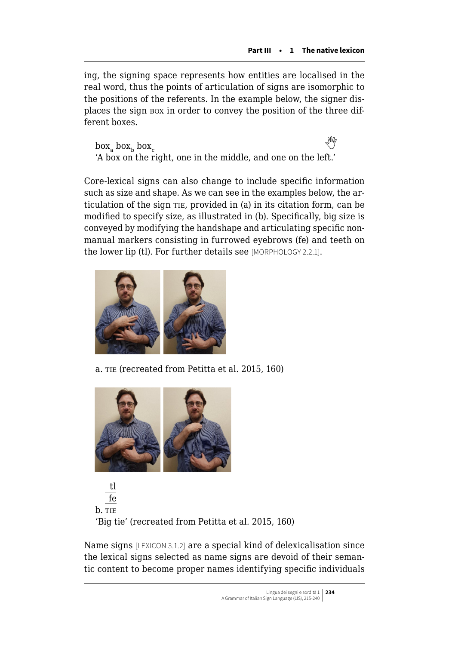ing, the signing space represents how entities are localised in the real word, thus the points of articulation of signs are isomorphic to the positions of the referents. In the example below, the signer displaces the sign box in order to convey the position of the three different boxes.

 $box_{\circ}$  box<sub>b</sub> box<sub>c</sub> **CARD** 'A box on the right, one in the middle, and one on the left.'

Core-lexical signs can also change to include specific information such as size and shape. As we can see in the examples below, the articulation of the sign tie, provided in (a) in its citation form, can be modified to specify size, as illustrated in (b). Specifically, big size is conveyed by modifying the handshape and articulating specific nonmanual markers consisting in furrowed eyebrows (fe) and teeth on the lower lip (tl). For further details see [MORPHOLOGY 2.2.1].



a. tie (recreated from Petitta et al. 2015, 160)



tl fe b. TIE 'Big tie' (recreated from Petitta et al. 2015, 160)

Name signs [LEXICON 3.1.2] are a special kind of delexicalisation since the lexical signs selected as name signs are devoid of their semantic content to become proper names identifying specific individuals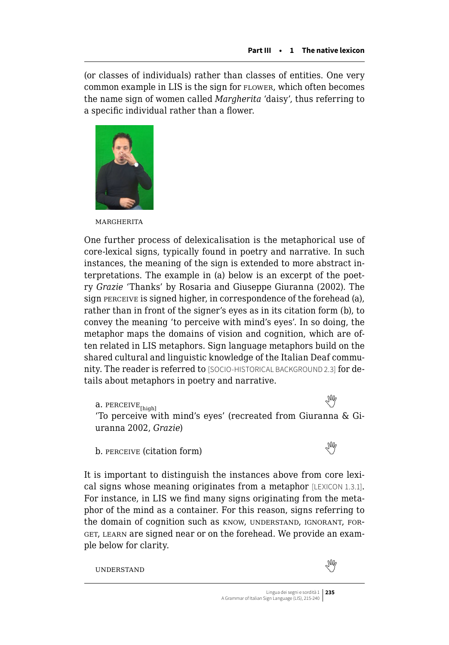(or classes of individuals) rather than classes of entities. One very common example in LIS is the sign for FLOWER, which often becomes the name sign of women called *Margherita* 'daisy', thus referring to a specific individual rather than a flower.



**MARGHERITA** 

One further process of delexicalisation is the metaphorical use of core-lexical signs, typically found in poetry and narrative. In such instances, the meaning of the sign is extended to more abstract interpretations. The example in (a) below is an excerpt of the poetry *Grazie* 'Thanks' by Rosaria and Giuseppe Giuranna (2002). The sign perceive is signed higher, in correspondence of the forehead (a), rather than in front of the signer's eyes as in its citation form (b), to convey the meaning 'to perceive with mind's eyes'. In so doing, the metaphor maps the domains of vision and cognition, which are often related in LIS metaphors. Sign language metaphors build on the shared cultural and linguistic knowledge of the Italian Deaf community. The reader is referred to [SOCIO-HISTORICAL BACKGROUND 2.3] for details about metaphors in poetry and narrative.

a.PERCEIVE<sub>Ibiobl</sub>  $\mathbb{N}$ <sub>2</sub> 'To perceive with mind's eyes' (recreated from Giuranna & Giuranna 2002, *Grazie*)

b.PERCEIVE (citation form)

It is important to distinguish the instances above from core lexical signs whose meaning originates from a metaphor [LEXICON 1.3.1]. For instance, in LIS we find many signs originating from the metaphor of the mind as a container. For this reason, signs referring to the domain of cognition such as know, UNDERSTAND, IGNORANT, FORget, learn are signed near or on the forehead. We provide an example below for clarity.

understandwhen the contract of the contract of the contract of the contract of  $\mathbb{W}$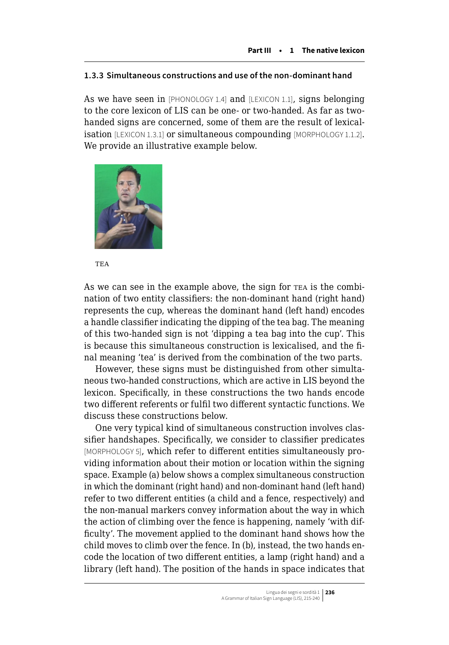## **1.3.3 Simultaneous constructions and use of the non-dominant hand**

As we have seen in [PHONOLOGY 1.4] and [LEXICON 1.1], signs belonging to the core lexicon of LIS can be one- or two-handed. As far as twohanded signs are concerned, some of them are the result of lexicalisation [LEXICON 1.3.1] or simultaneous compounding [MORPHOLOGY 1.1.2]. We provide an illustrative example below.



TE A

As we can see in the example above, the sign for TEA is the combination of two entity classifiers: the non-dominant hand (right hand) represents the cup, whereas the dominant hand (left hand) encodes a handle classifier indicating the dipping of the tea bag. The meaning of this two-handed sign is not 'dipping a tea bag into the cup'. This is because this simultaneous construction is lexicalised, and the final meaning 'tea' is derived from the combination of the two parts.

However, these signs must be distinguished from other simultaneous two-handed constructions, which are active in LIS beyond the lexicon. Specifically, in these constructions the two hands encode two different referents or fulfil two different syntactic functions. We discuss these constructions below.

One very typical kind of simultaneous construction involves classifier handshapes. Specifically, we consider to classifier predicates [MORPHOLOGY 5], which refer to different entities simultaneously providing information about their motion or location within the signing space. Example (a) below shows a complex simultaneous construction in which the dominant (right hand) and non-dominant hand (left hand) refer to two different entities (a child and a fence, respectively) and the non-manual markers convey information about the way in which the action of climbing over the fence is happening, namely 'with difficulty'. The movement applied to the dominant hand shows how the child moves to climb over the fence. In (b), instead, the two hands encode the location of two different entities, a lamp (right hand) and a library (left hand). The position of the hands in space indicates that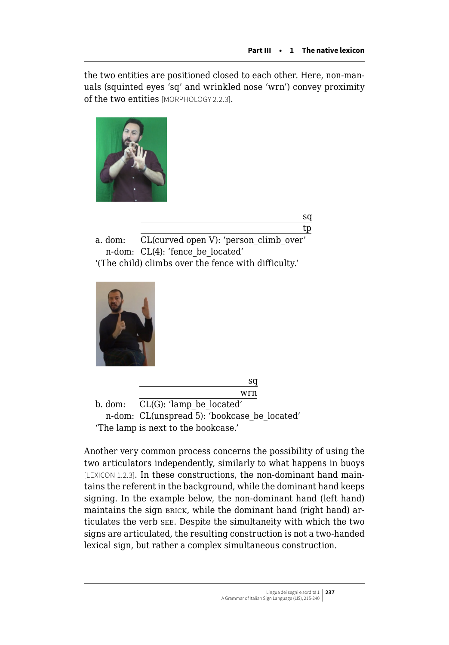the two entities are positioned closed to each other. Here, non-manuals (squinted eyes 'sq' and wrinkled nose 'wrn') convey proximity of the two entities [MORPHOLOGY 2.2.3].



sq tp

a. dom: CL(curved open V): 'person\_climb\_over' n-dom: CL(4): 'fence be located' '(The child) climbs over the fence with difficulty.'





b. dom: CL(G): 'lamp\_be\_located' n-dom: CL(unspread 5): 'bookcase be located' 'The lamp is next to the bookcase.'

Another very common process concerns the possibility of using the two articulators independently, similarly to what happens in buoys [LEXICON 1.2.3]. In these constructions, the non-dominant hand maintains the referent in the background, while the dominant hand keeps signing. In the example below, the non-dominant hand (left hand) maintains the sign BRICK, while the dominant hand (right hand) articulates the verb see. Despite the simultaneity with which the two signs are articulated, the resulting construction is not a two-handed lexical sign, but rather a complex simultaneous construction.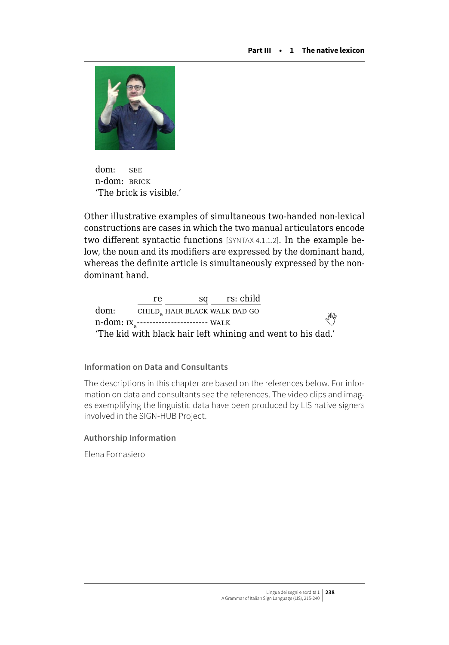

dom: SEE n-dom: BRICK 'The brick is visible.'

Other illustrative examples of simultaneous two-handed non-lexical constructions are cases in which the two manual articulators encode two different syntactic functions [SYNTAX 4.1.1.2]. In the example below, the noun and its modifiers are expressed by the dominant hand, whereas the definite article is simultaneously expressed by the nondominant hand.

re sq rs: child dom: CHILD<sub>a</sub> HAIR BLACK WALK DAD GO  $\frac{100 \text{ m}}{100 \text{ m} \cdot \text{K}}$  $\frac{100 \text{ m}}{100 \text{ m} \cdot \text{K}}$  $\frac{100 \text{ m}}{100 \text{ m} \cdot \text{K}}$  in  $\frac{100 \text{ m}}{100 \text{ m} \cdot \text{K}}$  in  $\frac{100 \text{ m}}{100 \text{ m} \cdot \text{K}}$ 'The kid with black hair left whining and went to his dad.'

## **Information on Data and Consultants**

The descriptions in this chapter are based on the references below. For information on data and consultants see the references. The video clips and images exemplifying the linguistic data have been produced by LIS native signers involved in the SIGN-HUB Project.

## **Authorship Information**

Elena Fornasiero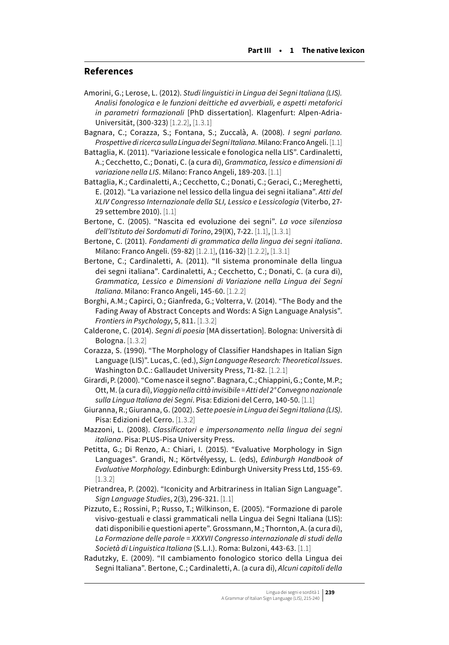## **References**

- Amorini, G.; Lerose, L. (2012). *Studi linguistici in Lingua dei Segni Italiana (LIS). Analisi fonologica e le funzioni deittiche ed avverbiali, e aspetti metaforici in parametri formazionali* [PhD dissertation]. Klagenfurt: Alpen-Adria-Universität, (300-323) [1.2.2], [1.3.1]
- Bagnara, C.; Corazza, S.; Fontana, S.; Zuccalà, A. (2008). *I segni parlano. Prospettive di ricerca sulla Lingua dei Segni Italiana*. Milano: Franco Angeli. [1.1]
- Battaglia, K. (2011). "Variazione lessicale e fonologica nella LIS". Cardinaletti, A.; Cecchetto, C.; Donati, C. (a cura di), *Grammatica, lessico e dimensioni di variazione nella LIS*. Milano: Franco Angeli, 189-203. [1.1]
- Battaglia, K.; Cardinaletti, A.; Cecchetto, C.; Donati, C.; Geraci, C.; Mereghetti, E. (2012). "La variazione nel lessico della lingua dei segni italiana". *Atti del XLIV Congresso Internazionale della SLI, Lessico e Lessicologia* (Viterbo, 27- 29 settembre 2010). [1.1]
- Bertone, C. (2005). "Nascita ed evoluzione dei segni". *La voce silenziosa dell'Istituto dei Sordomuti di Torino*, 29(IX), 7-22. [1.1], [1.3.1]
- Bertone, C. (2011). *Fondamenti di grammatica della lingua dei segni italiana*. Milano: Franco Angeli. (59-82) [1.2.1], (116-32) [1.2.2], [1.3.1]
- Bertone, C.; Cardinaletti, A. (2011). "Il sistema pronominale della lingua dei segni italiana". Cardinaletti, A.; Cecchetto, C.; Donati, C. (a cura di), *Grammatica, Lessico e Dimensioni di Variazione nella Lingua dei Segni Italiana*. Milano: Franco Angeli, 145-60. [1.2.2]
- Borghi, A.M.; Capirci, O.; Gianfreda, G.; Volterra, V. (2014). "The Body and the Fading Away of Abstract Concepts and Words: A Sign Language Analysis". *Frontiers in Psychology*, 5, 811. [1.3.2]
- Calderone, C. (2014). *Segni di poesia* [MA dissertation]. Bologna: Università di Bologna. [1.3.2]
- Corazza, S. (1990). "The Morphology of Classifier Handshapes in Italian Sign Language (LIS)". Lucas, C. (ed.), *Sign Language Research: Theoretical Issues*. Washington D.C.: Gallaudet University Press, 71-82. [1.2.1]
- Girardi, P. (2000). "Come nasce il segno". Bagnara, C.; Chiappini, G.; Conte, M.P.; Ott, M. (a cura di), *Viaggio nella città invisibile = Atti del 2° Convegno nazionale sulla Lingua Italiana dei Segni*. Pisa: Edizioni del Cerro, 140-50. [1.1]
- Giuranna, R.; Giuranna, G. (2002). *Sette poesie in Lingua dei Segni Italiana (LIS)*. Pisa: Edizioni del Cerro. [1.3.2]
- Mazzoni, L. (2008). *Classificatori e impersonamento nella lingua dei segni italiana*. Pisa: PLUS-Pisa University Press.
- Petitta, G.; Di Renzo, A.: Chiari, I. (2015). "Evaluative Morphology in Sign Languages". Grandi, N.; Körtvélyessy, L. (eds), *Edinburgh Handbook of Evaluative Morphology*. Edinburgh: Edinburgh University Press Ltd, 155-69.  $[1.3.2]$
- Pietrandrea, P. (2002). "Iconicity and Arbitrariness in Italian Sign Language". *Sign Language Studies*, 2(3), 296-321. [1.1]
- Pizzuto, E.; Rossini, P.; Russo, T.; Wilkinson, E. (2005). "Formazione di parole visivo-gestuali e classi grammaticali nella Lingua dei Segni Italiana (LIS): dati disponibili e questioni aperte". Grossmann, M.; Thornton, A. (a cura di), *La Formazione delle parole = XXXVII Congresso internazionale di studi della Società di Linguistica Italiana* (S.L.I.). Roma: Bulzoni, 443-63. [1.1]
- Radutzky, E. (2009). "Il cambiamento fonologico storico della Lingua dei Segni Italiana". Bertone, C.; Cardinaletti, A. (a cura di), *Alcuni capitoli della*